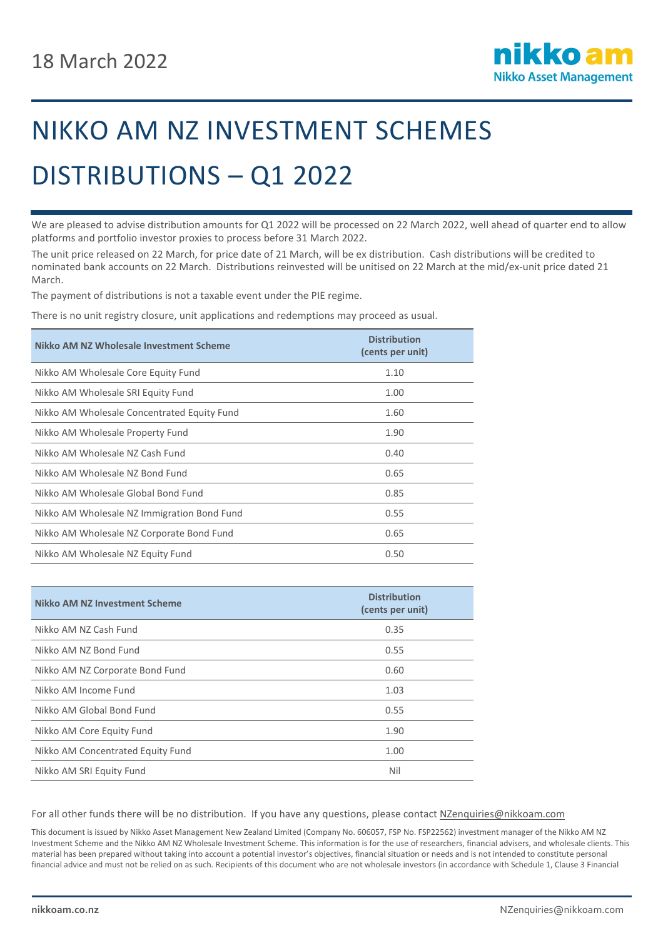

## NIKKO AM NZ INVESTMENT SCHEMES DISTRIBUTIONS – Q1 2022

We are pleased to advise distribution amounts for Q1 2022 will be processed on 22 March 2022, well ahead of quarter end to allow platforms and portfolio investor proxies to process before 31 March 2022.

The unit price released on 22 March, for price date of 21 March, will be ex distribution. Cash distributions will be credited to nominated bank accounts on 22 March. Distributions reinvested will be unitised on 22 March at the mid/ex-unit price dated 21 March.

The payment of distributions is not a taxable event under the PIE regime.

There is no unit registry closure, unit applications and redemptions may proceed as usual.

| Nikko AM NZ Wholesale Investment Scheme     | <b>Distribution</b><br>(cents per unit) |
|---------------------------------------------|-----------------------------------------|
| Nikko AM Wholesale Core Equity Fund         | 1.10                                    |
| Nikko AM Wholesale SRI Equity Fund          | 1.00                                    |
| Nikko AM Wholesale Concentrated Equity Fund | 1.60                                    |
| Nikko AM Wholesale Property Fund            | 1.90                                    |
| Nikko AM Wholesale NZ Cash Fund             | 0.40                                    |
| Nikko AM Wholesale NZ Bond Fund             | 0.65                                    |
| Nikko AM Wholesale Global Bond Fund         | 0.85                                    |
| Nikko AM Wholesale NZ Immigration Bond Fund | 0.55                                    |
| Nikko AM Wholesale NZ Corporate Bond Fund   | 0.65                                    |
| Nikko AM Wholesale NZ Equity Fund           | 0.50                                    |

| Nikko AM NZ Investment Scheme     | <b>Distribution</b><br>(cents per unit) |
|-----------------------------------|-----------------------------------------|
| Nikko AM NZ Cash Fund             | 0.35                                    |
| Nikko AM NZ Bond Fund             | 0.55                                    |
| Nikko AM NZ Corporate Bond Fund   | 0.60                                    |
| Nikko AM Income Fund              | 1.03                                    |
| Nikko AM Global Bond Fund         | 0.55                                    |
| Nikko AM Core Equity Fund         | 1.90                                    |
| Nikko AM Concentrated Equity Fund | 1.00                                    |
| Nikko AM SRI Equity Fund          | Nil                                     |

For all other funds there will be no distribution. If you have any questions, please contac[t NZenquiries@nikkoam.com](mailto:NZenquiries@nikkoam.com)

This document is issued by Nikko Asset Management New Zealand Limited (Company No. 606057, FSP No. FSP22562) investment manager of the Nikko AM NZ Investment Scheme and the Nikko AM NZ Wholesale Investment Scheme. This information is for the use of researchers, financial advisers, and wholesale clients. This material has been prepared without taking into account a potential investor's objectives, financial situation or needs and is not intended to constitute personal financial advice and must not be relied on as such. Recipients of this document who are not wholesale investors (in accordance with Schedule 1, Clause 3 Financial